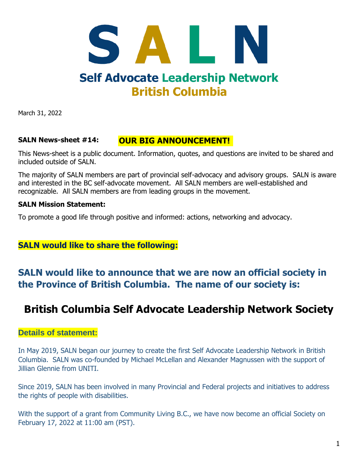# SALN **Self Advocate Leadership Network British Columbia**

March 31, 2022

#### **OUR BIG ANNOUNCEMENT! SALN News-sheet #14:**

This News-sheet is a public document. Information, quotes, and questions are invited to be shared and included outside of SALN.

The majority of SALN members are part of provincial self-advocacy and advisory groups. SALN is aware and interested in the BC self-advocate movement. All SALN members are well-established and recognizable. All SALN members are from leading groups in the movement.

#### **SALN Mission Statement:**

To promote a good life through positive and informed: actions, networking and advocacy.

### **SALN would like to share the following:**

### **SALN would like to announce that we are now an official society in the Province of British Columbia. The name of our society is:**

### **British Columbia Self Advocate Leadership Network Society**

### **Details of statement:**

In May 2019, SALN began our journey to create the first Self Advocate Leadership Network in British Columbia. SALN was co-founded by Michael McLellan and Alexander Magnussen with the support of Jillian Glennie from UNITI.

Since 2019, SALN has been involved in many Provincial and Federal projects and initiatives to address the rights of people with disabilities.

With the support of a grant from Community Living B.C., we have now become an official Society on February 17, 2022 at 11:00 am (PST).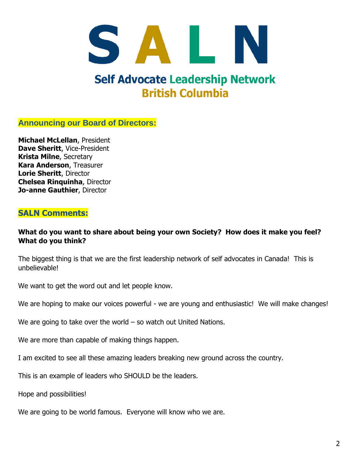# SALN **Self Advocate Leadership Network British Columbia**

### **Announcing our Board of Directors:**

**Michael McLellan**, President **Dave Sheritt**, Vice-President **Krista Milne**, Secretary **Kara Anderson**, Treasurer **Lorie Sheritt**, Director **Chelsea Rinquinha**, Director **Jo-anne Gauthier**, Director

### **SALN Comments:**

#### **What do you want to share about being your own Society? How does it make you feel? What do you think?**

The biggest thing is that we are the first leadership network of self advocates in Canada! This is unbelievable!

We want to get the word out and let people know.

We are hoping to make our voices powerful - we are young and enthusiastic! We will make changes!

We are going to take over the world – so watch out United Nations.

We are more than capable of making things happen.

I am excited to see all these amazing leaders breaking new ground across the country.

This is an example of leaders who SHOULD be the leaders.

Hope and possibilities!

We are going to be world famous. Everyone will know who we are.